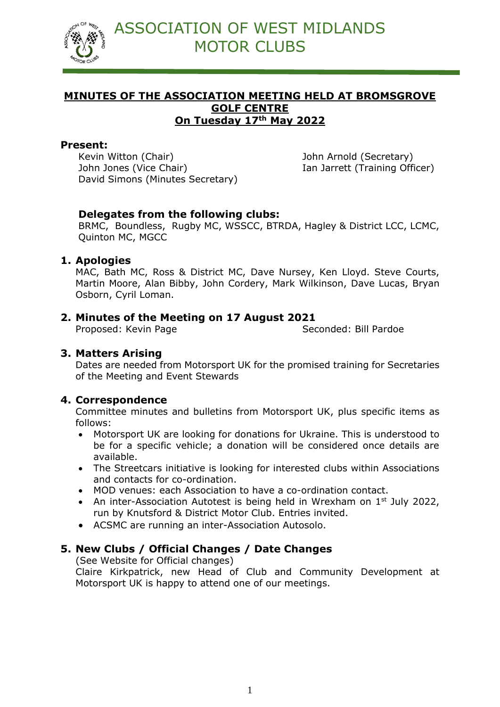

## **MINUTES OF THE ASSOCIATION MEETING HELD AT BROMSGROVE GOLF CENTRE On Tuesday 17th May 2022**

#### **Present:**

Kevin Witton (Chair) Manuel Arnold (Secretary) John Jones (Vice Chair) **Ian Jarrett (Training Officer)** David Simons (Minutes Secretary)

## **Delegates from the following clubs:**

BRMC, Boundless, Rugby MC, WSSCC, BTRDA, Hagley & District LCC, LCMC, Quinton MC, MGCC

## **1. Apologies**

MAC, Bath MC, Ross & District MC, Dave Nursey, Ken Lloyd. Steve Courts, Martin Moore, Alan Bibby, John Cordery, Mark Wilkinson, Dave Lucas, Bryan Osborn, Cyril Loman.

# **2. Minutes of the Meeting on 17 August 2021**

Proposed: Kevin Page Seconded: Bill Pardoe

#### **3. Matters Arising**

Dates are needed from Motorsport UK for the promised training for Secretaries of the Meeting and Event Stewards

## **4. Correspondence**

Committee minutes and bulletins from Motorsport UK, plus specific items as follows:

- Motorsport UK are looking for donations for Ukraine. This is understood to be for a specific vehicle; a donation will be considered once details are available.
- The Streetcars initiative is looking for interested clubs within Associations and contacts for co-ordination.
- MOD venues: each Association to have a co-ordination contact.
- An inter-Association Autotest is being held in Wrexham on  $1<sup>st</sup>$  July 2022, run by Knutsford & District Motor Club. Entries invited.
- ACSMC are running an inter-Association Autosolo.

# **5. New Clubs / Official Changes / Date Changes**

(See Website for Official changes)

Claire Kirkpatrick, new Head of Club and Community Development at Motorsport UK is happy to attend one of our meetings.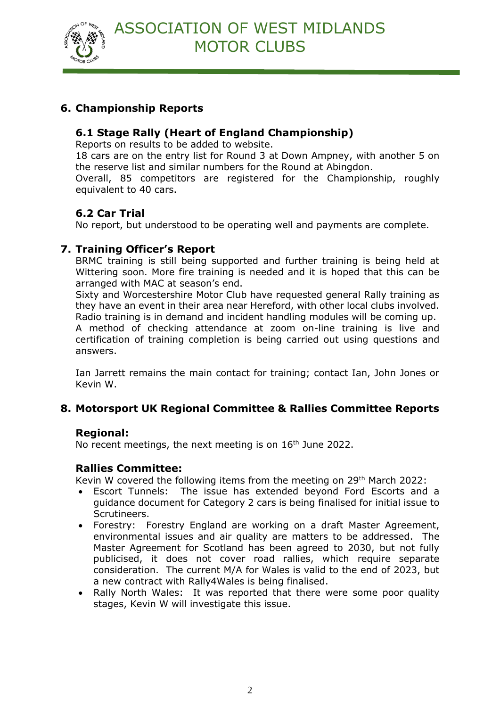

# **6. Championship Reports**

## **6.1 Stage Rally (Heart of England Championship)**

Reports on results to be added to website.

18 cars are on the entry list for Round 3 at Down Ampney, with another 5 on the reserve list and similar numbers for the Round at Abingdon.

Overall, 85 competitors are registered for the Championship, roughly equivalent to 40 cars.

## **6.2 Car Trial**

No report, but understood to be operating well and payments are complete.

#### **7. Training Officer's Report**

BRMC training is still being supported and further training is being held at Wittering soon. More fire training is needed and it is hoped that this can be arranged with MAC at season's end.

Sixty and Worcestershire Motor Club have requested general Rally training as they have an event in their area near Hereford, with other local clubs involved. Radio training is in demand and incident handling modules will be coming up.

A method of checking attendance at zoom on-line training is live and certification of training completion is being carried out using questions and answers.

Ian Jarrett remains the main contact for training; contact Ian, John Jones or Kevin W.

## **8. Motorsport UK Regional Committee & Rallies Committee Reports**

#### **Regional:**

No recent meetings, the next meeting is on  $16<sup>th</sup>$  June 2022.

## **Rallies Committee:**

Kevin W covered the following items from the meeting on 29th March 2022:

- Escort Tunnels: The issue has extended beyond Ford Escorts and a guidance document for Category 2 cars is being finalised for initial issue to Scrutineers.
- Forestry: Forestry England are working on a draft Master Agreement, environmental issues and air quality are matters to be addressed. The Master Agreement for Scotland has been agreed to 2030, but not fully publicised, it does not cover road rallies, which require separate consideration. The current M/A for Wales is valid to the end of 2023, but a new contract with Rally4Wales is being finalised.
- Rally North Wales: It was reported that there were some poor quality stages, Kevin W will investigate this issue.